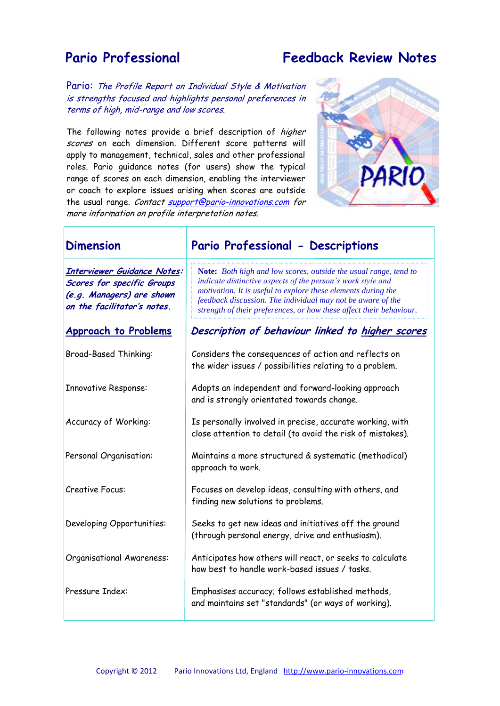## **Pario Professional Feedback Review Notes**

Pario: The Profile Report on Individual Style & Motivation is strengths focused and highlights personal preferences in terms of high, mid-range and low scores.

The following notes provide a brief description of *higher* scores on each dimension. Different score patterns will apply to management, technical, sales and other professional roles. Pario guidance notes (for users) show the typical range of scores on each dimension, enabling the interviewer or coach to explore issues arising when scores are outside the usual range. Contact support@pario-innovations.com for more information on profile interpretation notes.



| <b>Dimension</b>                                                                                                             | Pario Professional - Descriptions                                                                                                                                                                                                                                                                                                      |
|------------------------------------------------------------------------------------------------------------------------------|----------------------------------------------------------------------------------------------------------------------------------------------------------------------------------------------------------------------------------------------------------------------------------------------------------------------------------------|
| <b>Interviewer Guidance Notes:</b><br>Scores for specific Groups<br>(e.g. Managers) are shown<br>on the facilitator's notes. | Note: Both high and low scores, outside the usual range, tend to<br>indicate distinctive aspects of the person's work style and<br>motivation. It is useful to explore these elements during the<br>feedback discussion. The individual may not be aware of the<br>strength of their preferences, or how these affect their behaviour. |
| <b>Approach to Problems</b>                                                                                                  | Description of behaviour linked to higher scores                                                                                                                                                                                                                                                                                       |
| <b>Broad-Based Thinking:</b>                                                                                                 | Considers the consequences of action and reflects on<br>the wider issues / possibilities relating to a problem.                                                                                                                                                                                                                        |
| <b>Innovative Response:</b>                                                                                                  | Adopts an independent and forward-looking approach<br>and is strongly orientated towards change.                                                                                                                                                                                                                                       |
| Accuracy of Working:                                                                                                         | Is personally involved in precise, accurate working, with<br>close attention to detail (to avoid the risk of mistakes).                                                                                                                                                                                                                |
| Personal Organisation:                                                                                                       | Maintains a more structured & systematic (methodical)<br>approach to work.                                                                                                                                                                                                                                                             |
| <b>Creative Focus:</b>                                                                                                       | Focuses on develop ideas, consulting with others, and<br>finding new solutions to problems.                                                                                                                                                                                                                                            |
| Developing Opportunities:                                                                                                    | Seeks to get new ideas and initiatives off the ground<br>(through personal energy, drive and enthusiasm).                                                                                                                                                                                                                              |
| Organisational Awareness:                                                                                                    | Anticipates how others will react, or seeks to calculate<br>how best to handle work-based issues / tasks.                                                                                                                                                                                                                              |
| Pressure Index:                                                                                                              | Emphasises accuracy; follows established methods,<br>and maintains set "standards" (or ways of working).                                                                                                                                                                                                                               |